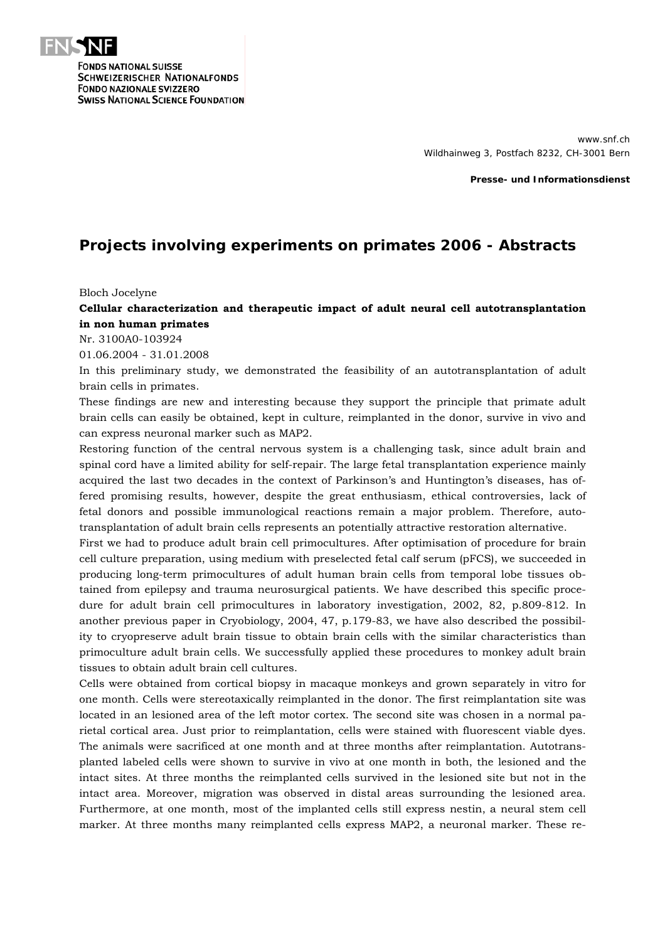

**FONDS NATIONAL SUISSE SCHWEIZERISCHER NATIONALFONDS FONDO NAZIONALE SVIZZERO SWISS NATIONAL SCIENCE FOUNDATION** 

> www.snf.ch Wildhainweg 3, Postfach 8232, CH-3001 Bern

> > **Presse- und Informationsdienst**

# **Projects involving experiments on primates 2006 - Abstracts**

Bloch Jocelyne

# **Cellular characterization and therapeutic impact of adult neural cell autotransplantation in non human primates**

Nr. 3100A0-103924

01.06.2004 - 31.01.2008

In this preliminary study, we demonstrated the feasibility of an autotransplantation of adult brain cells in primates.

These findings are new and interesting because they support the principle that primate adult brain cells can easily be obtained, kept in culture, reimplanted in the donor, survive in vivo and can express neuronal marker such as MAP2.

Restoring function of the central nervous system is a challenging task, since adult brain and spinal cord have a limited ability for self-repair. The large fetal transplantation experience mainly acquired the last two decades in the context of Parkinson's and Huntington's diseases, has offered promising results, however, despite the great enthusiasm, ethical controversies, lack of fetal donors and possible immunological reactions remain a major problem. Therefore, autotransplantation of adult brain cells represents an potentially attractive restoration alternative.

First we had to produce adult brain cell primocultures. After optimisation of procedure for brain cell culture preparation, using medium with preselected fetal calf serum (pFCS), we succeeded in producing long-term primocultures of adult human brain cells from temporal lobe tissues obtained from epilepsy and trauma neurosurgical patients. We have described this specific procedure for adult brain cell primocultures in laboratory investigation, 2002, 82, p.809-812. In another previous paper in Cryobiology, 2004, 47, p.179-83, we have also described the possibility to cryopreserve adult brain tissue to obtain brain cells with the similar characteristics than primoculture adult brain cells. We successfully applied these procedures to monkey adult brain tissues to obtain adult brain cell cultures.

Cells were obtained from cortical biopsy in macaque monkeys and grown separately in vitro for one month. Cells were stereotaxically reimplanted in the donor. The first reimplantation site was located in an lesioned area of the left motor cortex. The second site was chosen in a normal parietal cortical area. Just prior to reimplantation, cells were stained with fluorescent viable dyes. The animals were sacrificed at one month and at three months after reimplantation. Autotransplanted labeled cells were shown to survive in vivo at one month in both, the lesioned and the intact sites. At three months the reimplanted cells survived in the lesioned site but not in the intact area. Moreover, migration was observed in distal areas surrounding the lesioned area. Furthermore, at one month, most of the implanted cells still express nestin, a neural stem cell marker. At three months many reimplanted cells express MAP2, a neuronal marker. These re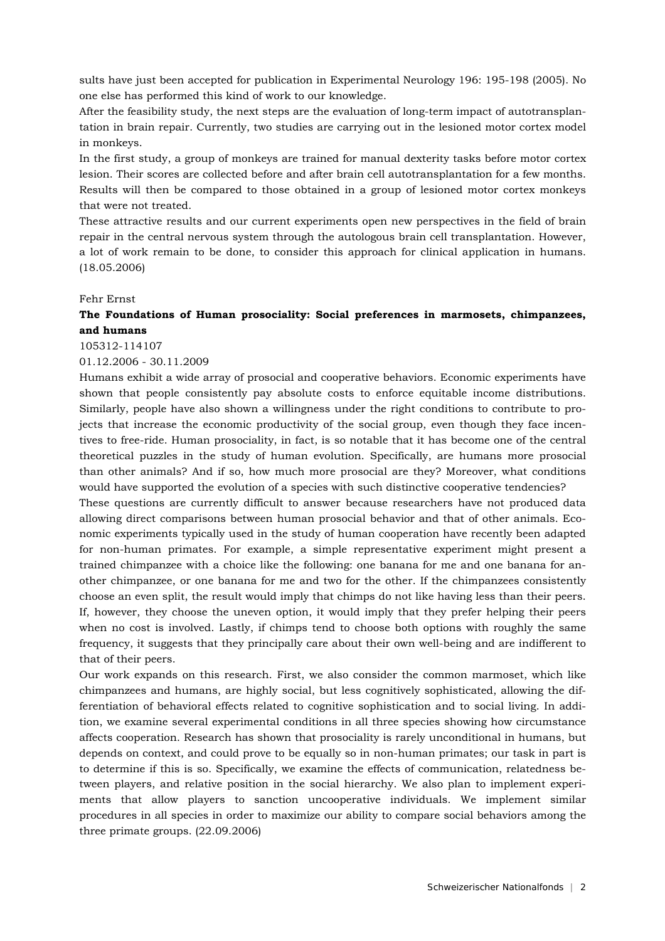sults have just been accepted for publication in Experimental Neurology 196: 195-198 (2005). No one else has performed this kind of work to our knowledge.

After the feasibility study, the next steps are the evaluation of long-term impact of autotransplantation in brain repair. Currently, two studies are carrying out in the lesioned motor cortex model in monkeys.

In the first study, a group of monkeys are trained for manual dexterity tasks before motor cortex lesion. Their scores are collected before and after brain cell autotransplantation for a few months. Results will then be compared to those obtained in a group of lesioned motor cortex monkeys that were not treated.

These attractive results and our current experiments open new perspectives in the field of brain repair in the central nervous system through the autologous brain cell transplantation. However, a lot of work remain to be done, to consider this approach for clinical application in humans. (18.05.2006)

#### Fehr Ernst

# **The Foundations of Human prosociality: Social preferences in marmosets, chimpanzees, and humans**

#### 105312-114107

#### 01.12.2006 - 30.11.2009

Humans exhibit a wide array of prosocial and cooperative behaviors. Economic experiments have shown that people consistently pay absolute costs to enforce equitable income distributions. Similarly, people have also shown a willingness under the right conditions to contribute to projects that increase the economic productivity of the social group, even though they face incentives to free-ride. Human prosociality, in fact, is so notable that it has become one of the central theoretical puzzles in the study of human evolution. Specifically, are humans more prosocial than other animals? And if so, how much more prosocial are they? Moreover, what conditions would have supported the evolution of a species with such distinctive cooperative tendencies?

These questions are currently difficult to answer because researchers have not produced data allowing direct comparisons between human prosocial behavior and that of other animals. Economic experiments typically used in the study of human cooperation have recently been adapted for non-human primates. For example, a simple representative experiment might present a trained chimpanzee with a choice like the following: one banana for me and one banana for another chimpanzee, or one banana for me and two for the other. If the chimpanzees consistently choose an even split, the result would imply that chimps do not like having less than their peers. If, however, they choose the uneven option, it would imply that they prefer helping their peers when no cost is involved. Lastly, if chimps tend to choose both options with roughly the same frequency, it suggests that they principally care about their own well-being and are indifferent to that of their peers.

Our work expands on this research. First, we also consider the common marmoset, which like chimpanzees and humans, are highly social, but less cognitively sophisticated, allowing the differentiation of behavioral effects related to cognitive sophistication and to social living. In addition, we examine several experimental conditions in all three species showing how circumstance affects cooperation. Research has shown that prosociality is rarely unconditional in humans, but depends on context, and could prove to be equally so in non-human primates; our task in part is to determine if this is so. Specifically, we examine the effects of communication, relatedness between players, and relative position in the social hierarchy. We also plan to implement experiments that allow players to sanction uncooperative individuals. We implement similar procedures in all species in order to maximize our ability to compare social behaviors among the three primate groups. (22.09.2006)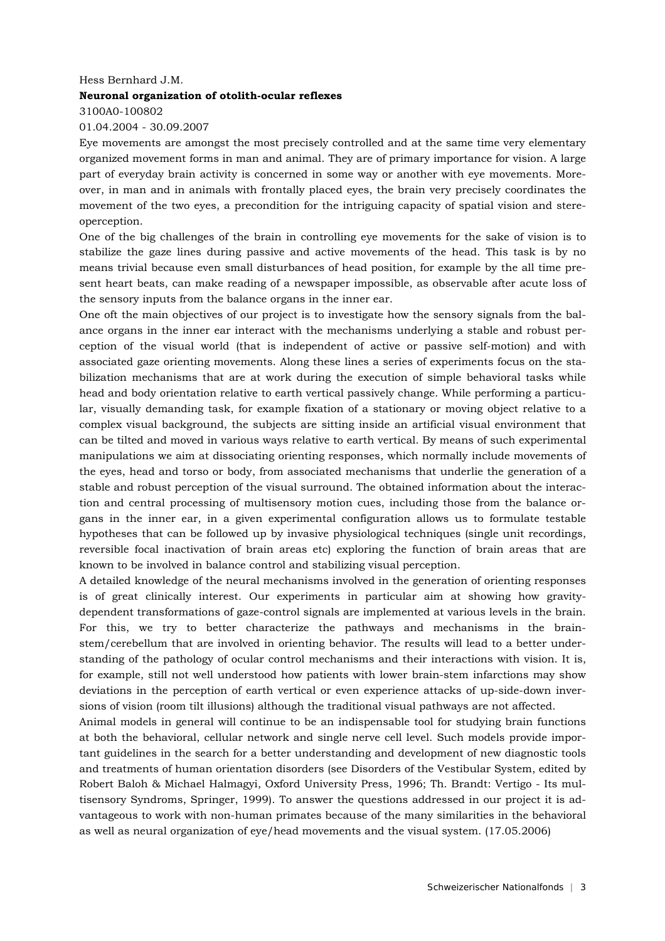#### Hess Bernhard J.M.

### **Neuronal organization of otolith-ocular reflexes**

# 3100A0-100802 01.04.2004 - 30.09.2007

Eye movements are amongst the most precisely controlled and at the same time very elementary organized movement forms in man and animal. They are of primary importance for vision. A large part of everyday brain activity is concerned in some way or another with eye movements. Moreover, in man and in animals with frontally placed eyes, the brain very precisely coordinates the movement of the two eyes, a precondition for the intriguing capacity of spatial vision and stereoperception.

One of the big challenges of the brain in controlling eye movements for the sake of vision is to stabilize the gaze lines during passive and active movements of the head. This task is by no means trivial because even small disturbances of head position, for example by the all time present heart beats, can make reading of a newspaper impossible, as observable after acute loss of the sensory inputs from the balance organs in the inner ear.

One oft the main objectives of our project is to investigate how the sensory signals from the balance organs in the inner ear interact with the mechanisms underlying a stable and robust perception of the visual world (that is independent of active or passive self-motion) and with associated gaze orienting movements. Along these lines a series of experiments focus on the stabilization mechanisms that are at work during the execution of simple behavioral tasks while head and body orientation relative to earth vertical passively change. While performing a particular, visually demanding task, for example fixation of a stationary or moving object relative to a complex visual background, the subjects are sitting inside an artificial visual environment that can be tilted and moved in various ways relative to earth vertical. By means of such experimental manipulations we aim at dissociating orienting responses, which normally include movements of the eyes, head and torso or body, from associated mechanisms that underlie the generation of a stable and robust perception of the visual surround. The obtained information about the interaction and central processing of multisensory motion cues, including those from the balance organs in the inner ear, in a given experimental configuration allows us to formulate testable hypotheses that can be followed up by invasive physiological techniques (single unit recordings, reversible focal inactivation of brain areas etc) exploring the function of brain areas that are known to be involved in balance control and stabilizing visual perception.

A detailed knowledge of the neural mechanisms involved in the generation of orienting responses is of great clinically interest. Our experiments in particular aim at showing how gravitydependent transformations of gaze-control signals are implemented at various levels in the brain. For this, we try to better characterize the pathways and mechanisms in the brainstem/cerebellum that are involved in orienting behavior. The results will lead to a better understanding of the pathology of ocular control mechanisms and their interactions with vision. It is, for example, still not well understood how patients with lower brain-stem infarctions may show deviations in the perception of earth vertical or even experience attacks of up-side-down inversions of vision (room tilt illusions) although the traditional visual pathways are not affected.

Animal models in general will continue to be an indispensable tool for studying brain functions at both the behavioral, cellular network and single nerve cell level. Such models provide important guidelines in the search for a better understanding and development of new diagnostic tools and treatments of human orientation disorders (see Disorders of the Vestibular System, edited by Robert Baloh & Michael Halmagyi, Oxford University Press, 1996; Th. Brandt: Vertigo - Its multisensory Syndroms, Springer, 1999). To answer the questions addressed in our project it is advantageous to work with non-human primates because of the many similarities in the behavioral as well as neural organization of eye/head movements and the visual system. (17.05.2006)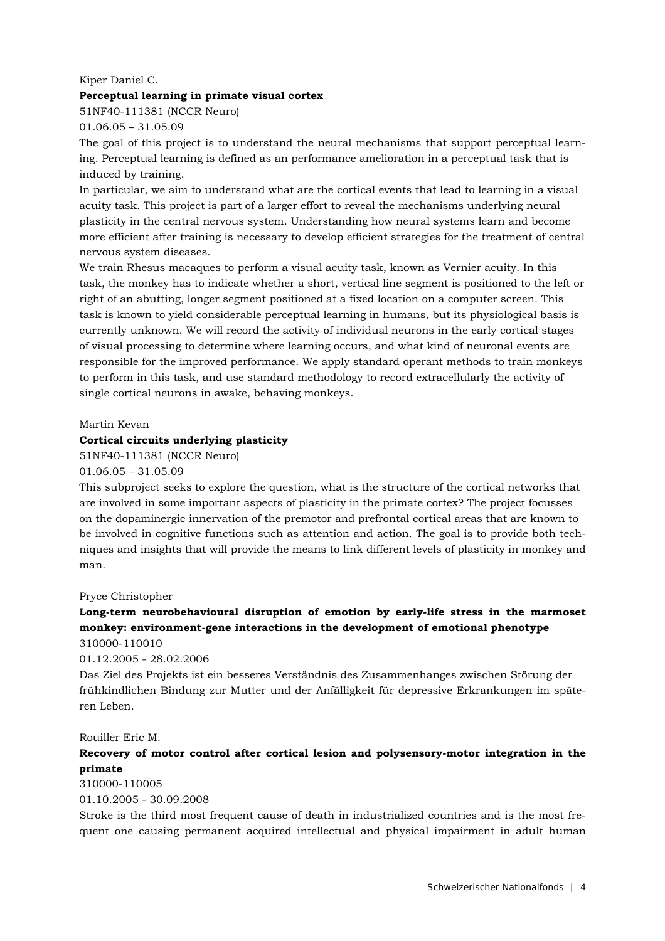# Kiper Daniel C.

### **Perceptual learning in primate visual cortex**

51NF40-111381 (NCCR Neuro)

01.06.05 – 31.05.09

The goal of this project is to understand the neural mechanisms that support perceptual learning. Perceptual learning is defined as an performance amelioration in a perceptual task that is induced by training.

In particular, we aim to understand what are the cortical events that lead to learning in a visual acuity task. This project is part of a larger effort to reveal the mechanisms underlying neural plasticity in the central nervous system. Understanding how neural systems learn and become more efficient after training is necessary to develop efficient strategies for the treatment of central nervous system diseases.

We train Rhesus macaques to perform a visual acuity task, known as Vernier acuity. In this task, the monkey has to indicate whether a short, vertical line segment is positioned to the left or right of an abutting, longer segment positioned at a fixed location on a computer screen. This task is known to yield considerable perceptual learning in humans, but its physiological basis is currently unknown. We will record the activity of individual neurons in the early cortical stages of visual processing to determine where learning occurs, and what kind of neuronal events are responsible for the improved performance. We apply standard operant methods to train monkeys to perform in this task, and use standard methodology to record extracellularly the activity of single cortical neurons in awake, behaving monkeys.

### Martin Kevan

# **Cortical circuits underlying plasticity**

51NF40-111381 (NCCR Neuro)

### 01.06.05 – 31.05.09

This subproject seeks to explore the question, what is the structure of the cortical networks that are involved in some important aspects of plasticity in the primate cortex? The project focusses on the dopaminergic innervation of the premotor and prefrontal cortical areas that are known to be involved in cognitive functions such as attention and action. The goal is to provide both techniques and insights that will provide the means to link different levels of plasticity in monkey and man.

### Pryce Christopher

# **Long-term neurobehavioural disruption of emotion by early-life stress in the marmoset monkey: environment-gene interactions in the development of emotional phenotype**  310000-110010

01.12.2005 - 28.02.2006

Das Ziel des Projekts ist ein besseres Verständnis des Zusammenhanges zwischen Störung der frühkindlichen Bindung zur Mutter und der Anfälligkeit für depressive Erkrankungen im späteren Leben.

### Rouiller Eric M.

# **Recovery of motor control after cortical lesion and polysensory-motor integration in the primate**

310000-110005

01.10.2005 - 30.09.2008

Stroke is the third most frequent cause of death in industrialized countries and is the most frequent one causing permanent acquired intellectual and physical impairment in adult human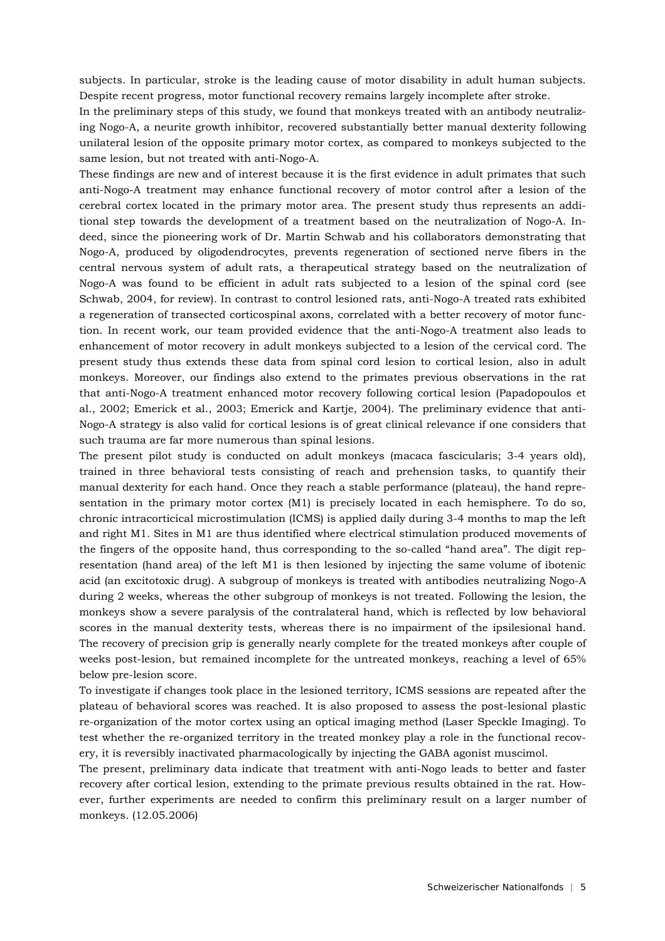subjects. In particular, stroke is the leading cause of motor disability in adult human subjects. Despite recent progress, motor functional recovery remains largely incomplete after stroke.

In the preliminary steps of this study, we found that monkeys treated with an antibody neutralizing Nogo-A, a neurite growth inhibitor, recovered substantially better manual dexterity following unilateral lesion of the opposite primary motor cortex, as compared to monkeys subjected to the same lesion, but not treated with anti-Nogo-A.

These findings are new and of interest because it is the first evidence in adult primates that such anti-Nogo-A treatment may enhance functional recovery of motor control after a lesion of the cerebral cortex located in the primary motor area. The present study thus represents an additional step towards the development of a treatment based on the neutralization of Nogo-A. Indeed, since the pioneering work of Dr. Martin Schwab and his collaborators demonstrating that Nogo-A, produced by oligodendrocytes, prevents regeneration of sectioned nerve fibers in the central nervous system of adult rats, a therapeutical strategy based on the neutralization of Nogo-A was found to be efficient in adult rats subjected to a lesion of the spinal cord (see Schwab, 2004, for review). In contrast to control lesioned rats, anti-Nogo-A treated rats exhibited a regeneration of transected corticospinal axons, correlated with a better recovery of motor function. In recent work, our team provided evidence that the anti-Nogo-A treatment also leads to enhancement of motor recovery in adult monkeys subjected to a lesion of the cervical cord. The present study thus extends these data from spinal cord lesion to cortical lesion, also in adult monkeys. Moreover, our findings also extend to the primates previous observations in the rat that anti-Nogo-A treatment enhanced motor recovery following cortical lesion (Papadopoulos et al., 2002; Emerick et al., 2003; Emerick and Kartje, 2004). The preliminary evidence that anti-Nogo-A strategy is also valid for cortical lesions is of great clinical relevance if one considers that such trauma are far more numerous than spinal lesions.

The present pilot study is conducted on adult monkeys (macaca fascicularis; 3-4 years old), trained in three behavioral tests consisting of reach and prehension tasks, to quantify their manual dexterity for each hand. Once they reach a stable performance (plateau), the hand representation in the primary motor cortex (M1) is precisely located in each hemisphere. To do so, chronic intracorticical microstimulation (ICMS) is applied daily during 3-4 months to map the left and right M1. Sites in M1 are thus identified where electrical stimulation produced movements of the fingers of the opposite hand, thus corresponding to the so-called "hand area". The digit representation (hand area) of the left M1 is then lesioned by injecting the same volume of ibotenic acid (an excitotoxic drug). A subgroup of monkeys is treated with antibodies neutralizing Nogo-A during 2 weeks, whereas the other subgroup of monkeys is not treated. Following the lesion, the monkeys show a severe paralysis of the contralateral hand, which is reflected by low behavioral scores in the manual dexterity tests, whereas there is no impairment of the ipsilesional hand. The recovery of precision grip is generally nearly complete for the treated monkeys after couple of weeks post-lesion, but remained incomplete for the untreated monkeys, reaching a level of 65% below pre-lesion score.

To investigate if changes took place in the lesioned territory, ICMS sessions are repeated after the plateau of behavioral scores was reached. It is also proposed to assess the post-lesional plastic re-organization of the motor cortex using an optical imaging method (Laser Speckle Imaging). To test whether the re-organized territory in the treated monkey play a role in the functional recovery, it is reversibly inactivated pharmacologically by injecting the GABA agonist muscimol.

The present, preliminary data indicate that treatment with anti-Nogo leads to better and faster recovery after cortical lesion, extending to the primate previous results obtained in the rat. However, further experiments are needed to confirm this preliminary result on a larger number of monkeys. (12.05.2006)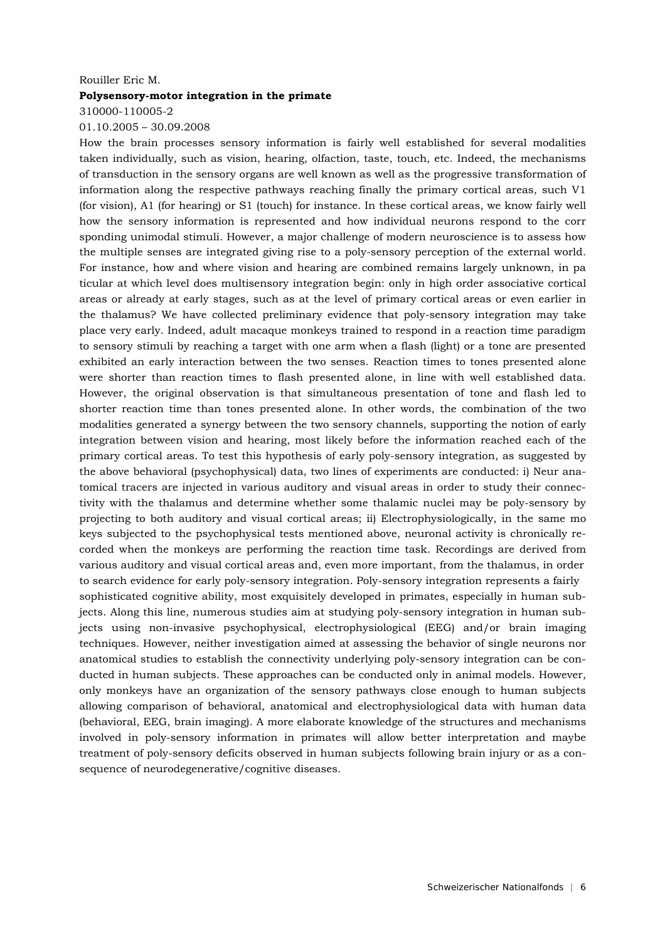#### Rouiller Eric M.

### **Polysensory-motor integration in the primate**

# 310000-110005-2 01.10.2005 – 30.09.2008

How the brain processes sensory information is fairly well established for several modalities taken individually, such as vision, hearing, olfaction, taste, touch, etc. Indeed, the mechanisms of transduction in the sensory organs are well known as well as the progressive transformation of information along the respective pathways reaching finally the primary cortical areas, such V1 (for vision), A1 (for hearing) or S1 (touch) for instance. In these cortical areas, we know fairly well how the sensory information is represented and how individual neurons respond to the corr sponding unimodal stimuli. However, a major challenge of modern neuroscience is to assess how the multiple senses are integrated giving rise to a poly-sensory perception of the external world. For instance, how and where vision and hearing are combined remains largely unknown, in pa ticular at which level does multisensory integration begin: only in high order associative cortical areas or already at early stages, such as at the level of primary cortical areas or even earlier in the thalamus? We have collected preliminary evidence that poly-sensory integration may take place very early. Indeed, adult macaque monkeys trained to respond in a reaction time paradigm to sensory stimuli by reaching a target with one arm when a flash (light) or a tone are presented exhibited an early interaction between the two senses. Reaction times to tones presented alone were shorter than reaction times to flash presented alone, in line with well established data. However, the original observation is that simultaneous presentation of tone and flash led to shorter reaction time than tones presented alone. In other words, the combination of the two modalities generated a synergy between the two sensory channels, supporting the notion of early integration between vision and hearing, most likely before the information reached each of the primary cortical areas. To test this hypothesis of early poly-sensory integration, as suggested by the above behavioral (psychophysical) data, two lines of experiments are conducted: i) Neur anatomical tracers are injected in various auditory and visual areas in order to study their connectivity with the thalamus and determine whether some thalamic nuclei may be poly-sensory by projecting to both auditory and visual cortical areas; ii) Electrophysiologically, in the same mo keys subjected to the psychophysical tests mentioned above, neuronal activity is chronically recorded when the monkeys are performing the reaction time task. Recordings are derived from various auditory and visual cortical areas and, even more important, from the thalamus, in order to search evidence for early poly-sensory integration. Poly-sensory integration represents a fairly sophisticated cognitive ability, most exquisitely developed in primates, especially in human subjects. Along this line, numerous studies aim at studying poly-sensory integration in human subjects using non-invasive psychophysical, electrophysiological (EEG) and/or brain imaging techniques. However, neither investigation aimed at assessing the behavior of single neurons nor anatomical studies to establish the connectivity underlying poly-sensory integration can be conducted in human subjects. These approaches can be conducted only in animal models. However, only monkeys have an organization of the sensory pathways close enough to human subjects allowing comparison of behavioral, anatomical and electrophysiological data with human data (behavioral, EEG, brain imaging). A more elaborate knowledge of the structures and mechanisms involved in poly-sensory information in primates will allow better interpretation and maybe treatment of poly-sensory deficits observed in human subjects following brain injury or as a consequence of neurodegenerative/cognitive diseases.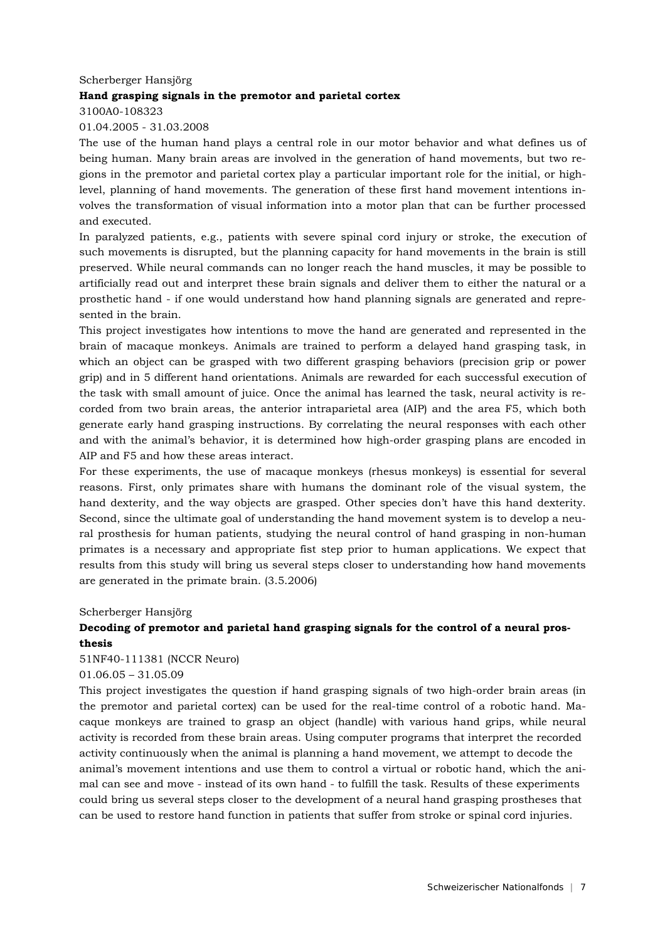# Scherberger Hansjörg **Hand grasping signals in the premotor and parietal cortex**  3100A0-108323

# 01.04.2005 - 31.03.2008

The use of the human hand plays a central role in our motor behavior and what defines us of being human. Many brain areas are involved in the generation of hand movements, but two regions in the premotor and parietal cortex play a particular important role for the initial, or highlevel, planning of hand movements. The generation of these first hand movement intentions involves the transformation of visual information into a motor plan that can be further processed and executed.

In paralyzed patients, e.g., patients with severe spinal cord injury or stroke, the execution of such movements is disrupted, but the planning capacity for hand movements in the brain is still preserved. While neural commands can no longer reach the hand muscles, it may be possible to artificially read out and interpret these brain signals and deliver them to either the natural or a prosthetic hand - if one would understand how hand planning signals are generated and represented in the brain.

This project investigates how intentions to move the hand are generated and represented in the brain of macaque monkeys. Animals are trained to perform a delayed hand grasping task, in which an object can be grasped with two different grasping behaviors (precision grip or power grip) and in 5 different hand orientations. Animals are rewarded for each successful execution of the task with small amount of juice. Once the animal has learned the task, neural activity is recorded from two brain areas, the anterior intraparietal area (AIP) and the area F5, which both generate early hand grasping instructions. By correlating the neural responses with each other and with the animal's behavior, it is determined how high-order grasping plans are encoded in AIP and F5 and how these areas interact.

For these experiments, the use of macaque monkeys (rhesus monkeys) is essential for several reasons. First, only primates share with humans the dominant role of the visual system, the hand dexterity, and the way objects are grasped. Other species don't have this hand dexterity. Second, since the ultimate goal of understanding the hand movement system is to develop a neural prosthesis for human patients, studying the neural control of hand grasping in non-human primates is a necessary and appropriate fist step prior to human applications. We expect that results from this study will bring us several steps closer to understanding how hand movements are generated in the primate brain. (3.5.2006)

### Scherberger Hansjörg

# **Decoding of premotor and parietal hand grasping signals for the control of a neural prosthesis**

51NF40-111381 (NCCR Neuro)

# 01.06.05 – 31.05.09

This project investigates the question if hand grasping signals of two high-order brain areas (in the premotor and parietal cortex) can be used for the real-time control of a robotic hand. Macaque monkeys are trained to grasp an object (handle) with various hand grips, while neural activity is recorded from these brain areas. Using computer programs that interpret the recorded activity continuously when the animal is planning a hand movement, we attempt to decode the animal's movement intentions and use them to control a virtual or robotic hand, which the animal can see and move - instead of its own hand - to fulfill the task. Results of these experiments could bring us several steps closer to the development of a neural hand grasping prostheses that can be used to restore hand function in patients that suffer from stroke or spinal cord injuries.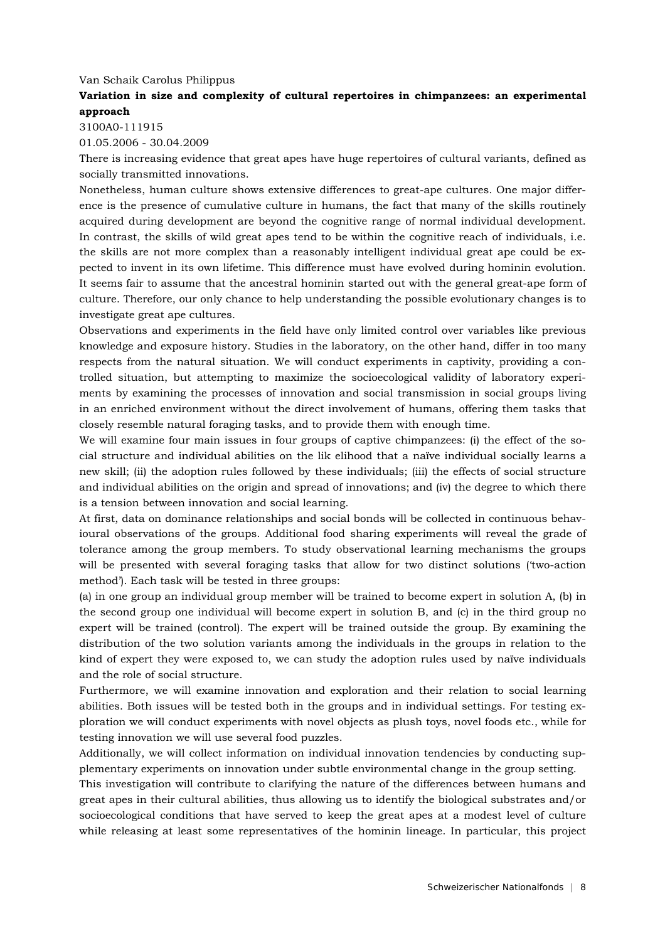### Van Schaik Carolus Philippus

# **Variation in size and complexity of cultural repertoires in chimpanzees: an experimental approach**

3100A0-111915

01.05.2006 - 30.04.2009

There is increasing evidence that great apes have huge repertoires of cultural variants, defined as socially transmitted innovations.

Nonetheless, human culture shows extensive differences to great-ape cultures. One major difference is the presence of cumulative culture in humans, the fact that many of the skills routinely acquired during development are beyond the cognitive range of normal individual development. In contrast, the skills of wild great apes tend to be within the cognitive reach of individuals, i.e. the skills are not more complex than a reasonably intelligent individual great ape could be expected to invent in its own lifetime. This difference must have evolved during hominin evolution. It seems fair to assume that the ancestral hominin started out with the general great-ape form of culture. Therefore, our only chance to help understanding the possible evolutionary changes is to investigate great ape cultures.

Observations and experiments in the field have only limited control over variables like previous knowledge and exposure history. Studies in the laboratory, on the other hand, differ in too many respects from the natural situation. We will conduct experiments in captivity, providing a controlled situation, but attempting to maximize the socioecological validity of laboratory experiments by examining the processes of innovation and social transmission in social groups living in an enriched environment without the direct involvement of humans, offering them tasks that closely resemble natural foraging tasks, and to provide them with enough time.

We will examine four main issues in four groups of captive chimpanzees: (i) the effect of the social structure and individual abilities on the lik elihood that a naïve individual socially learns a new skill; (ii) the adoption rules followed by these individuals; (iii) the effects of social structure and individual abilities on the origin and spread of innovations; and (iv) the degree to which there is a tension between innovation and social learning.

At first, data on dominance relationships and social bonds will be collected in continuous behavioural observations of the groups. Additional food sharing experiments will reveal the grade of tolerance among the group members. To study observational learning mechanisms the groups will be presented with several foraging tasks that allow for two distinct solutions ('two-action method'). Each task will be tested in three groups:

(a) in one group an individual group member will be trained to become expert in solution A, (b) in the second group one individual will become expert in solution B, and (c) in the third group no expert will be trained (control). The expert will be trained outside the group. By examining the distribution of the two solution variants among the individuals in the groups in relation to the kind of expert they were exposed to, we can study the adoption rules used by naïve individuals and the role of social structure.

Furthermore, we will examine innovation and exploration and their relation to social learning abilities. Both issues will be tested both in the groups and in individual settings. For testing exploration we will conduct experiments with novel objects as plush toys, novel foods etc., while for testing innovation we will use several food puzzles.

Additionally, we will collect information on individual innovation tendencies by conducting supplementary experiments on innovation under subtle environmental change in the group setting.

This investigation will contribute to clarifying the nature of the differences between humans and great apes in their cultural abilities, thus allowing us to identify the biological substrates and/or socioecological conditions that have served to keep the great apes at a modest level of culture while releasing at least some representatives of the hominin lineage. In particular, this project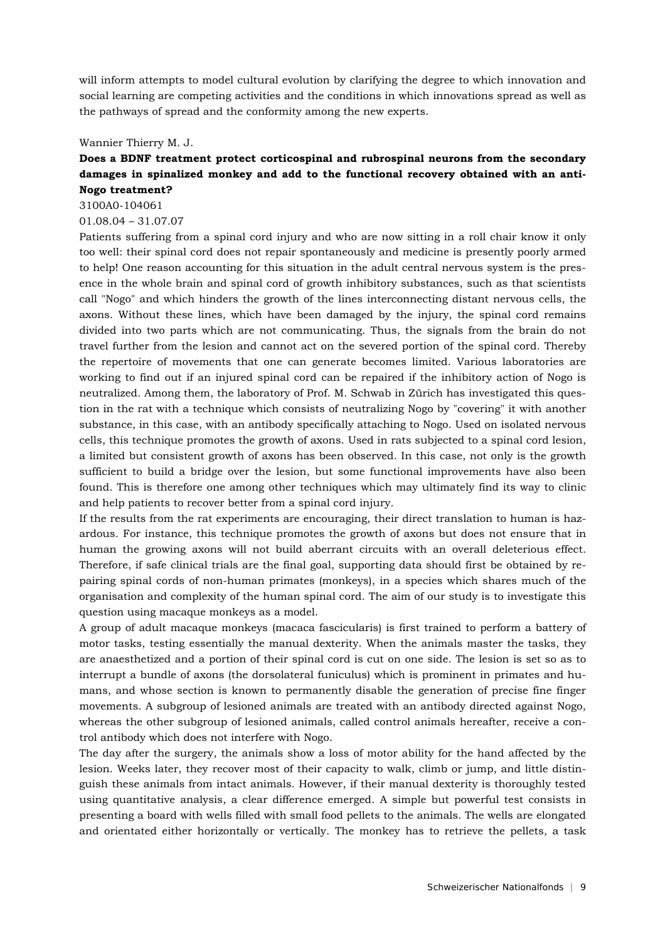will inform attempts to model cultural evolution by clarifying the degree to which innovation and social learning are competing activities and the conditions in which innovations spread as well as the pathways of spread and the conformity among the new experts.

### Wannier Thierry M. J.

# **Does a BDNF treatment protect corticospinal and rubrospinal neurons from the secondary damages in spinalized monkey and add to the functional recovery obtained with an anti-Nogo treatment?**

3100A0-104061

### 01.08.04 – 31.07.07

Patients suffering from a spinal cord injury and who are now sitting in a roll chair know it only too well: their spinal cord does not repair spontaneously and medicine is presently poorly armed to help! One reason accounting for this situation in the adult central nervous system is the presence in the whole brain and spinal cord of growth inhibitory substances, such as that scientists call "Nogo" and which hinders the growth of the lines interconnecting distant nervous cells, the axons. Without these lines, which have been damaged by the injury, the spinal cord remains divided into two parts which are not communicating. Thus, the signals from the brain do not travel further from the lesion and cannot act on the severed portion of the spinal cord. Thereby the repertoire of movements that one can generate becomes limited. Various laboratories are working to find out if an injured spinal cord can be repaired if the inhibitory action of Nogo is neutralized. Among them, the laboratory of Prof. M. Schwab in Zürich has investigated this question in the rat with a technique which consists of neutralizing Nogo by "covering" it with another substance, in this case, with an antibody specifically attaching to Nogo. Used on isolated nervous cells, this technique promotes the growth of axons. Used in rats subjected to a spinal cord lesion, a limited but consistent growth of axons has been observed. In this case, not only is the growth sufficient to build a bridge over the lesion, but some functional improvements have also been found. This is therefore one among other techniques which may ultimately find its way to clinic and help patients to recover better from a spinal cord injury.

If the results from the rat experiments are encouraging, their direct translation to human is hazardous. For instance, this technique promotes the growth of axons but does not ensure that in human the growing axons will not build aberrant circuits with an overall deleterious effect. Therefore, if safe clinical trials are the final goal, supporting data should first be obtained by repairing spinal cords of non-human primates (monkeys), in a species which shares much of the organisation and complexity of the human spinal cord. The aim of our study is to investigate this question using macaque monkeys as a model.

A group of adult macaque monkeys (macaca fascicularis) is first trained to perform a battery of motor tasks, testing essentially the manual dexterity. When the animals master the tasks, they are anaesthetized and a portion of their spinal cord is cut on one side. The lesion is set so as to interrupt a bundle of axons (the dorsolateral funiculus) which is prominent in primates and humans, and whose section is known to permanently disable the generation of precise fine finger movements. A subgroup of lesioned animals are treated with an antibody directed against Nogo, whereas the other subgroup of lesioned animals, called control animals hereafter, receive a control antibody which does not interfere with Nogo.

The day after the surgery, the animals show a loss of motor ability for the hand affected by the lesion. Weeks later, they recover most of their capacity to walk, climb or jump, and little distinguish these animals from intact animals. However, if their manual dexterity is thoroughly tested using quantitative analysis, a clear difference emerged. A simple but powerful test consists in presenting a board with wells filled with small food pellets to the animals. The wells are elongated and orientated either horizontally or vertically. The monkey has to retrieve the pellets, a task